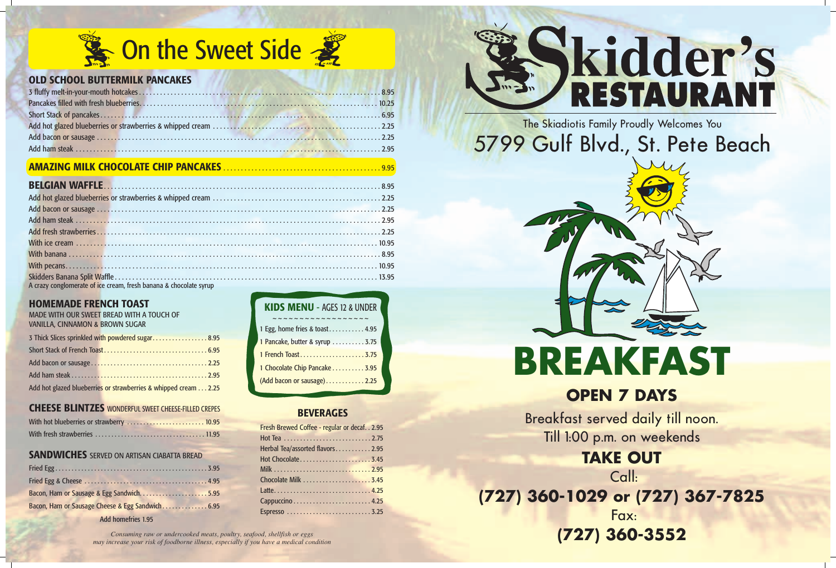## The Skiadiotis Family Proudly Welcomes You 5799 Gulf Blvd., St. Pete Beach



## **OPEN 7 DAYS**

Breakfast served daily till noon. Till 1:00 p.m. on weekends

## **TAKE OUT**

Call:

## **(727) 360-1029 or (727) 367-7825** Fax:

## **(727) 360-3552**



| <b>KIDS MENU - AGES 12 &amp; UNDER</b> |
|----------------------------------------|
| $\sim$ $\sim$ $\sim$ $\sim$            |
| 1 Egg, home fries & toast 4.95         |
| 1 Pancake, butter & syrup  3.75        |
| 1 French Toast 3.75                    |
| 1 Chocolate Chip Pancake 3.95          |
| (Add bacon or sausage)2.25             |

*Consuming raw or undercooked meats, poultry, seafood, shellfish or eggs may increase your risk of foodborne illness, especially if you have a medical condition*

# **Skidder's**

## **BEVERAGES**

| Fresh Brewed Coffee - regular or decaf. . 2.95 |  |
|------------------------------------------------|--|
|                                                |  |
| Herbal Tea/assorted flavors2.95                |  |
|                                                |  |
|                                                |  |
|                                                |  |
|                                                |  |
|                                                |  |
|                                                |  |



#### **HOMEMADE FRENCH TOAST**

|                                 | MADE WITH OUR SWEET BREAD WITH A TOUCH OF |
|---------------------------------|-------------------------------------------|
| VANILLA, CINNAMON & BROWN SUGAR |                                           |

| 3 Thick Slices sprinkled with powdered sugar 8.95               |  |
|-----------------------------------------------------------------|--|
|                                                                 |  |
|                                                                 |  |
|                                                                 |  |
| Add hot glazed blueberries or strawberries & whipped cream 2.25 |  |

#### **CHEESE BLINTZES** WONDERFUL SWEET CHEESE-FILLED CREPES

| With hot blueberries or strawberry  10.95 |  |
|-------------------------------------------|--|
|                                           |  |

#### **SANDWICHES** SERVED ON ARTISAN CIABATTA BREAD

| Bacon, Ham or Sausage & Egg Sandwich5.95         |  |
|--------------------------------------------------|--|
| Bacon, Ham or Sausage Cheese & Egg Sandwich 6.95 |  |

Add homefries 1.95

## **OLD SCHOOL BUTTERMILK PANCAKES**

## **AMAZING MILK CHOCOLATE CHIP PANCAKES** . . . . . . . . . . . . . . . . . . . . . . . . . . . . . . . . . . . . . . . . . . . . . 9.95

| A crazy conglomerate of ice cream, fresh banana & chocolate syrup and a state of the state of the state of the |  |
|----------------------------------------------------------------------------------------------------------------|--|